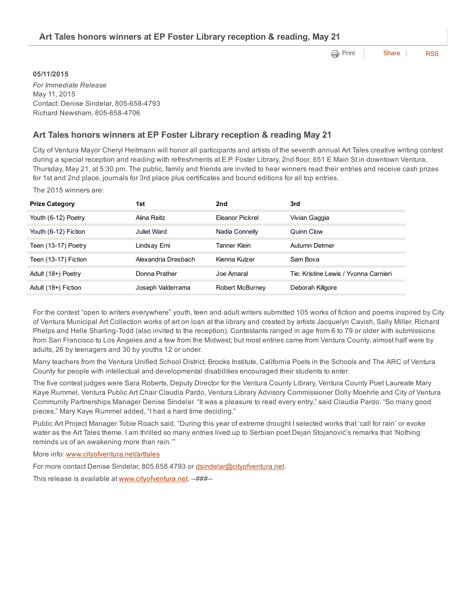| Art Tales honors winners at EP Foster Library reception & reading, May 21 |                                   |  |  |  |  |  |
|---------------------------------------------------------------------------|-----------------------------------|--|--|--|--|--|
|                                                                           | <b>Expedience</b> Print Share RSS |  |  |  |  |  |
| 05/11/2015                                                                |                                   |  |  |  |  |  |

*For Immediate Release* May 11, 2015 Contact: Denise Sindelar, 805-658-4793 Richard Newsham, 805-658-4706

## Art Tales honors winners at EP Foster Library reception & reading May 21

City of Ventura Mayor Cheryl Heitmann will honor all participants and artists of the seventh annual Art Tales creative writing contest during a special reception and reading with refreshments at E.P. Foster Library, 2nd floor, 651 E Main St in downtown Ventura, Thursday, May 21, at 5:30 pm. The public, family and friends are invited to hear winners read their entries and receive cash prizes for 1st and 2nd place, journals for 3rd place plus certificates and bound editions for all top entries.

The 2015 winners are:

| <b>Prize Category</b> | 1st                 | 2nd                    | 3rd                                   |
|-----------------------|---------------------|------------------------|---------------------------------------|
| Youth (6-12) Poetry   | Alina Reitz         | Eleanor Pickrel        | Vivian Gaggia                         |
| Youth (6-12) Fiction  | Juliet Ward         | Nadia Connelly         | Quinn Clow                            |
| Teen (13-17) Poetry   | Lindsay Emi         | Tanner Klein           | Autumn Detmer                         |
| Teen (13-17) Fiction  | Alexandria Dresbach | Kienna Kulzer          | Sam Bova                              |
| Adult (18+) Poetry    | Donna Prather       | Joe Amaral             | Tie: Kristine Lewis / Yvonna Carnieri |
| Adult (18+) Fiction   | Joseph Valderrama   | <b>Robert McBurney</b> | Deborah Killgore                      |

For the contest "open to writers everywhere" youth, teen and adult writers submitted 105 works of fiction and poems inspired by City of Ventura Municipal Art Collection works of art on loan at the library and created by artists Jacquelyn Cavish, Sally Miller, Richard Phelps and Helle Sharling-Todd (also invited to the reception). Contestants ranged in age from 6 to 79 or older with submissions from San Francisco to Los Angeles and a few from the Midwest; but most entries came from Ventura County, almost half were by adults, 26 by teenagers and 30 by youths 12 or under.

Many teachers from the Ventura Unified School District, Brooks Institute, California Poets in the Schools and The ARC of Ventura County for people with intellectual and developmental disabilities encouraged their students to enter.

The five contest judges were Sara Roberts, Deputy Director for the Ventura County Library, Ventura County Poet Laureate Mary Kaye Rummel, Ventura Public Art Chair Claudia Pardo, Ventura Library Advisory Commissioner Dolly Moehrle and City of Ventura Community Partnerships Manager Denise Sindelar. "It was a pleasure to read every entry," said Claudia Pardo. "So many good pieces," Mary Kaye Rummel added, "I had a hard time deciding."

Public Art Project Manager Tobie Roach said. "During this year of extreme drought I selected works that 'call for rain' or evoke water as the Art Tales theme. I am thrilled so many entries lived up to Serbian poet Dejan Stojanović's remarks that 'Nothing reminds us of an awakening more than rain.'"

More info: [www.cityofventura.net/arttales](http://www.cityofventura.net/arttales)

For more contact Denise Sindelar, 805.658.4793 or [dsindelar@cityofventura.net](mailto:dsindelar@cityofventura.net).

This release is available at [www.cityofventura.net](http://www.cityofventura.net/). --###--